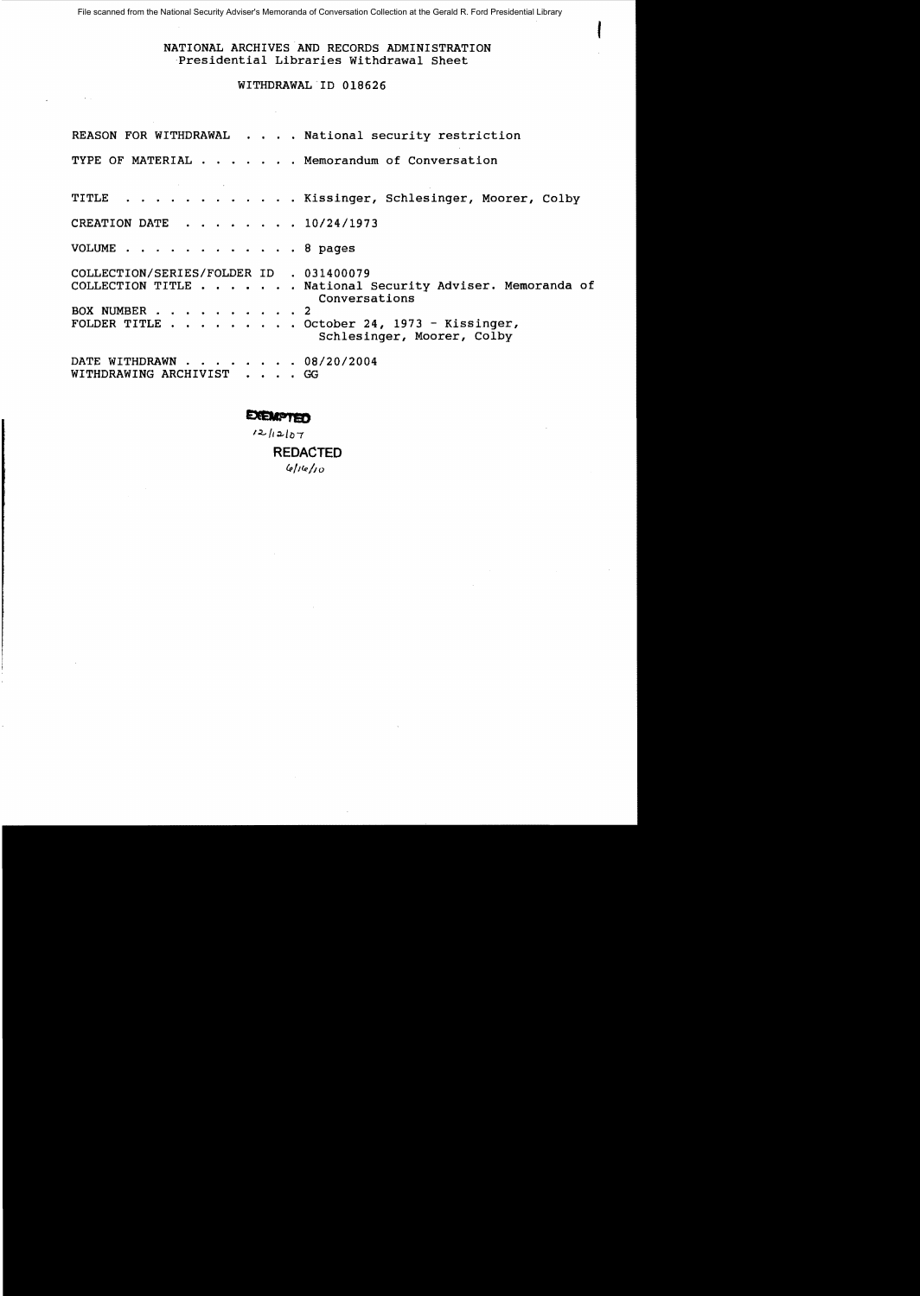File scanned from the National Security Adviser's Memoranda of Conversation Collection at the Gerald R. Ford Presidential Library

## NATIONAL ARCHIVES AND RECORDS ADMINISTRATION Presidential Libraries Withdrawal Sheet

 $\mathbf{f}$ 

# WITHDRAWAL ID 018626

|                          |  |  |  |  |  | REASON FOR WITHDRAWAL National security restriction                                                                                                                |
|--------------------------|--|--|--|--|--|--------------------------------------------------------------------------------------------------------------------------------------------------------------------|
|                          |  |  |  |  |  | TYPE OF MATERIAL Memorandum of Conversation                                                                                                                        |
|                          |  |  |  |  |  | TITLE Kissinger, Schlesinger, Moorer, Colby                                                                                                                        |
|                          |  |  |  |  |  | CREATION DATE 10/24/1973                                                                                                                                           |
|                          |  |  |  |  |  | VOLUME 8 pages                                                                                                                                                     |
| BOX NUMBER 2             |  |  |  |  |  | COLLECTION/SERIES/FOLDER ID . 031400079<br>COLLECTION TITLE National Security Adviser. Memoranda of<br>Conversations<br>FOLDER TITLE October 24, 1973 - Kissinger, |
| WITHDRAWING ARCHIVIST GG |  |  |  |  |  | Schlesinger, Moorer, Colby<br>DATE WITHDRAWN 08/20/2004                                                                                                            |

# **EXEMPTED**

 $12$ /12/07

**REDACTED**  *4>/14>/10*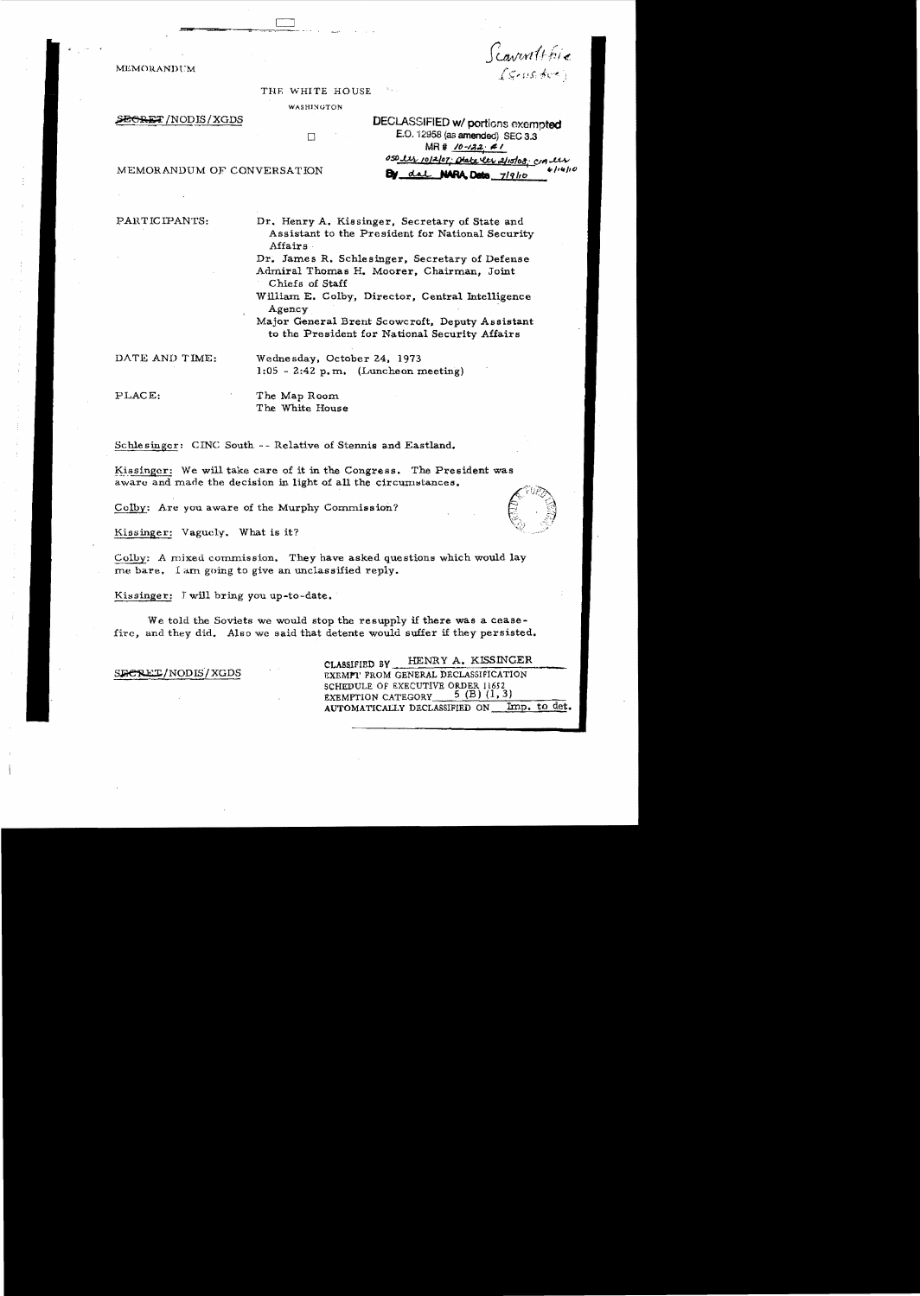Scaventthie I grusished i

THE WHITE HOUSE

WASHINGTON

MEMORANDt:M

SEGRET /NODIS / XGDS DECLASSIFIED w/ portions exempted  $\Box$  E.O. 12958 (as amended) SEC 3.3 MR # <u>10-122</u> **41** *050 lly 1012/07; Chabe les 2115/08; cra lly*<br>**By** dal **NARA Data** 7/9/10

MEMORANDUM OF CONVERSATION

PARTICIPANTS: Dr. Henry A. Kissinger, Secretary of State and Assistant to the President for National Security Affairs

Dr. James R. Schlesinger, Secretary of Defense Admiral Thomas H. Moorer, Chairman, Joint Chiefs of Staff

William E. Colby, Director, Central Intelligence Agency .

Major General Brent Scowcroft. Deputy Assistant to the President for National Security Affairs

DATE AND TIME: Wednesday, October 24, 1973  $1:05 - 2:42$  p.m. (Luncheon meeting)

PLACE: The Map Room The White House

Schlesinger: CINC South -- Relative of Stennis and Eastland.

Kissinger: We will take care of it in the Congress. The President was aware and made the decision in light of all the circumstances.

Colby: Are you aware of the Murphy Commission?

Kissinger: Vaguely. What is it?

Colby: A mixed cornmission. They have asked questions which would lay me bare. I am going to give an unclassified reply.

Kissinger: J will bring you up-to-date.

We told the Soviets we would stop the resupply if there was a ceasefire, and they did. Also we said that detente would suffer if they persisted.

CLASSIFIED BY HENRY A. KISSINGER SECRET/NODIS/XGDS EXEMPLY FROM GENERAL DECLASSIFICATION SCHEDULE OF EXECUTIVE ORDER 11652<br>EXEMPTION CATEGORY 5 (B) (1, 3) EXEMPTION CATEGORY AUTOMATICALLY DECLASSIFIED ON Imp. to det.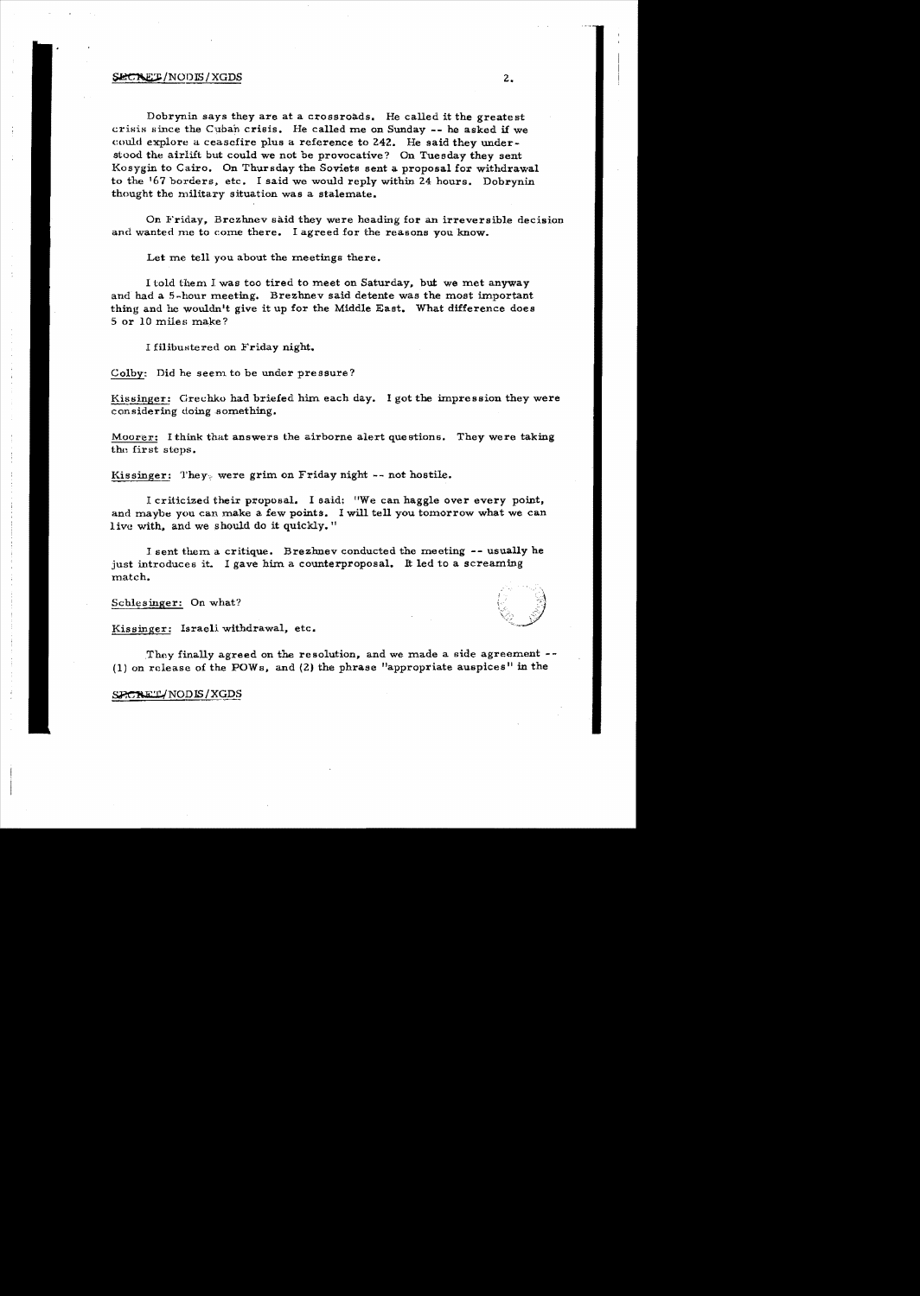#### $\texttt{SECTION} \setminus \text{XGDS}$  2.

Dobrynin says they are at a crossroads. He called it the greatest crisis since the Cuban crisis. He called me on Sunday -- he asked if we could explore a ceascfire plus a reference to 242. He said they understood the airlift but could we not be provocative? On Tuesday they sent Kosygin to Cairo. On Thursday the Soviets sent a proposal for withdrawal to the 167 borders. etc. I said we would reply within 24 hours. Dobrynin thought the military situation was a stalemate.

On Friday, Brczhnev said they were heading for an irreversible decision and wanted me to come there. I agreed for the reasons you know.

Let me tell you about the meetings there.

I told them J. was too tired to meet on Saturday, but we met anyway and had a 5 -hour meeting. Brezhnev said detente was the moat important thing and he wouldn't give it up for the Middle East. What difference does 5 or 10 miles make?

I filibustered on Friday night.

Colby: Did he seem to be under pressure?

Kissinger: Grechko had briefed him each day. I got the impression they were considering doing something.

Moorer: I think that answers the airborne alert questions. They were taking the first steps.

Kissinger: They, were grim on Friday night  $--$  not hostile.

I criticized their proposal. I said; "We can haggle over every point, and maybe you can make a few points. I will tell you tomorrow what we can live with, and we should do it quickly."

I sent them a. critique. Brezhnev conducted the meeting -- usually he just introduces it. I gave him a counterproposal. It led to a screaming match.

Schlesinger: On what?

Kissinger: Israeli withdrawal, etc.

They finally agreed on the resolution, and we made a side agreement  $(1)$  on release of the POWs, and  $(2)$  the phrase "appropriate auspices" in the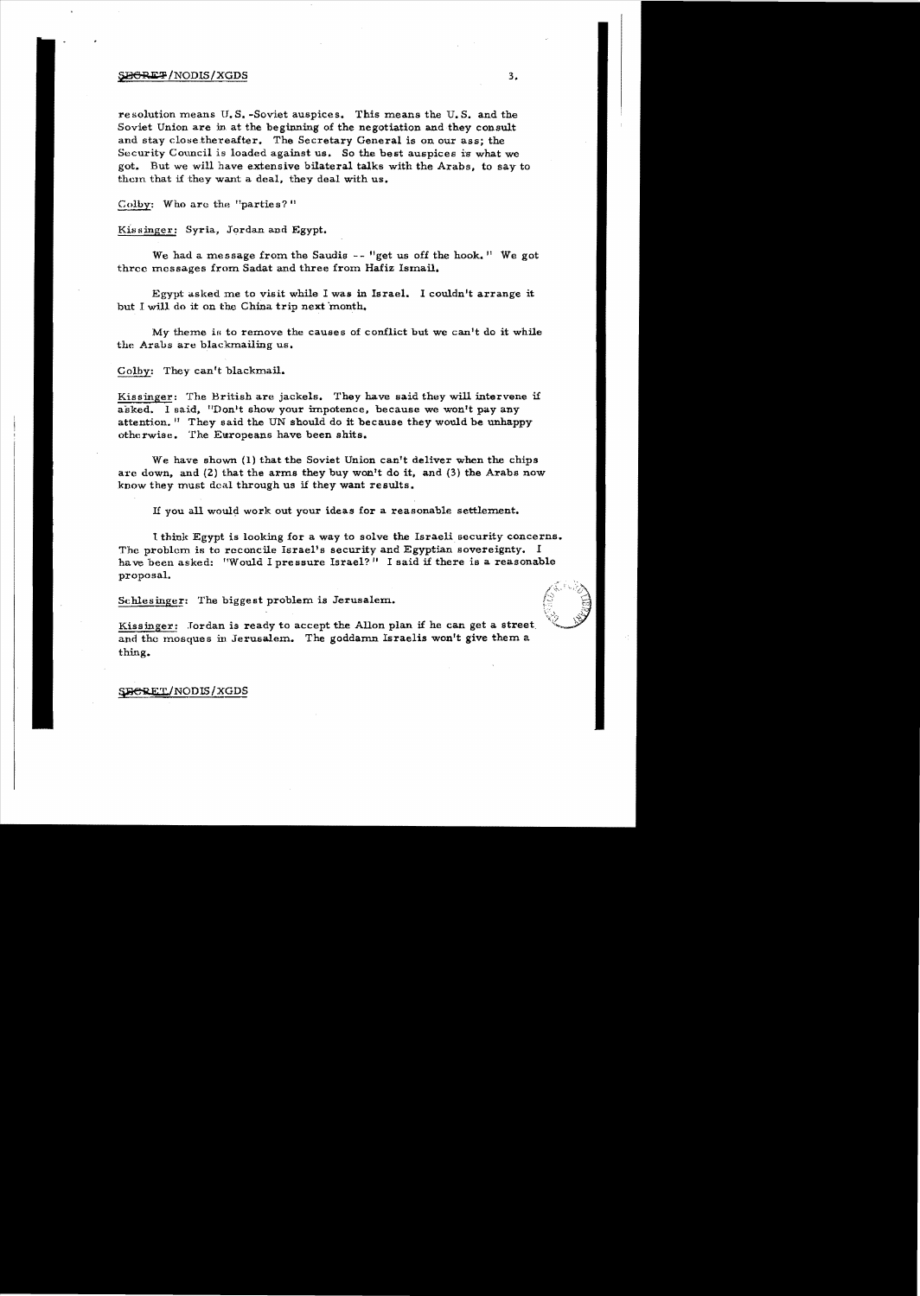#### $\texttt{SBRE2}$ /NODIS/XGDS 3.

resolution means U.S. -Soviet auspices. This means the U.S. and the Soviet Union are in at the beginning of the negotiation and they consult and stay close.thereafter. The Secretary General is on our ass; the Security Council is loaded against us. So the best auspices is what we got. But we will have extensive bilateral talks with the Arabs, to say to them that if they want a deal. they deal with us.

Colby: Who are the "parties?"

Kissinger: Syria, Jordan and Egypt.

We had a message from the Saudis  $-$  "get us off the hook." We got three messages from Sadat and three from Hafiz Ismail.

Egypt asked me to visit while I was in Israel. I couldn't arrange it but I will do it on the China trip next month.

My theme is to remove the causes of conflict but we can't do it while the Arabs are blackmailing us.

#### Colby: They can't blackmail.

Kissinger: The British are jackels. They have said they will intervene if asked. I said, "Don't show your impotence, because we won't pay any attention. <sup>11</sup> They said the UN should do it because they would be unhappy otherwise. The Europeans have been shits.

We have shown  $(1)$  that the Soviet Union can't deliver when the chips are down, and  $(2)$  that the arms they buy won't do it, and  $(3)$  the Arabs now know they must deal through us if they want results.

If you all would work out your ideas for a reasonable settlement.

1 thinlt Egypt is looking for a way to solve the Israeli security concerns. The problem is to reconcile Israel's security and Egyptian sovereignty. I have been asked: "Would I pressure Israel?" I said if there is a reasonable proposal.

Sehlesinger: The biggest problem is Jerusalem.



Kissinger: Jordan is ready to accept the Allon plan if he can get a street. and the mosques in Jerusalem. The goddamn Israelis won't give them a thing.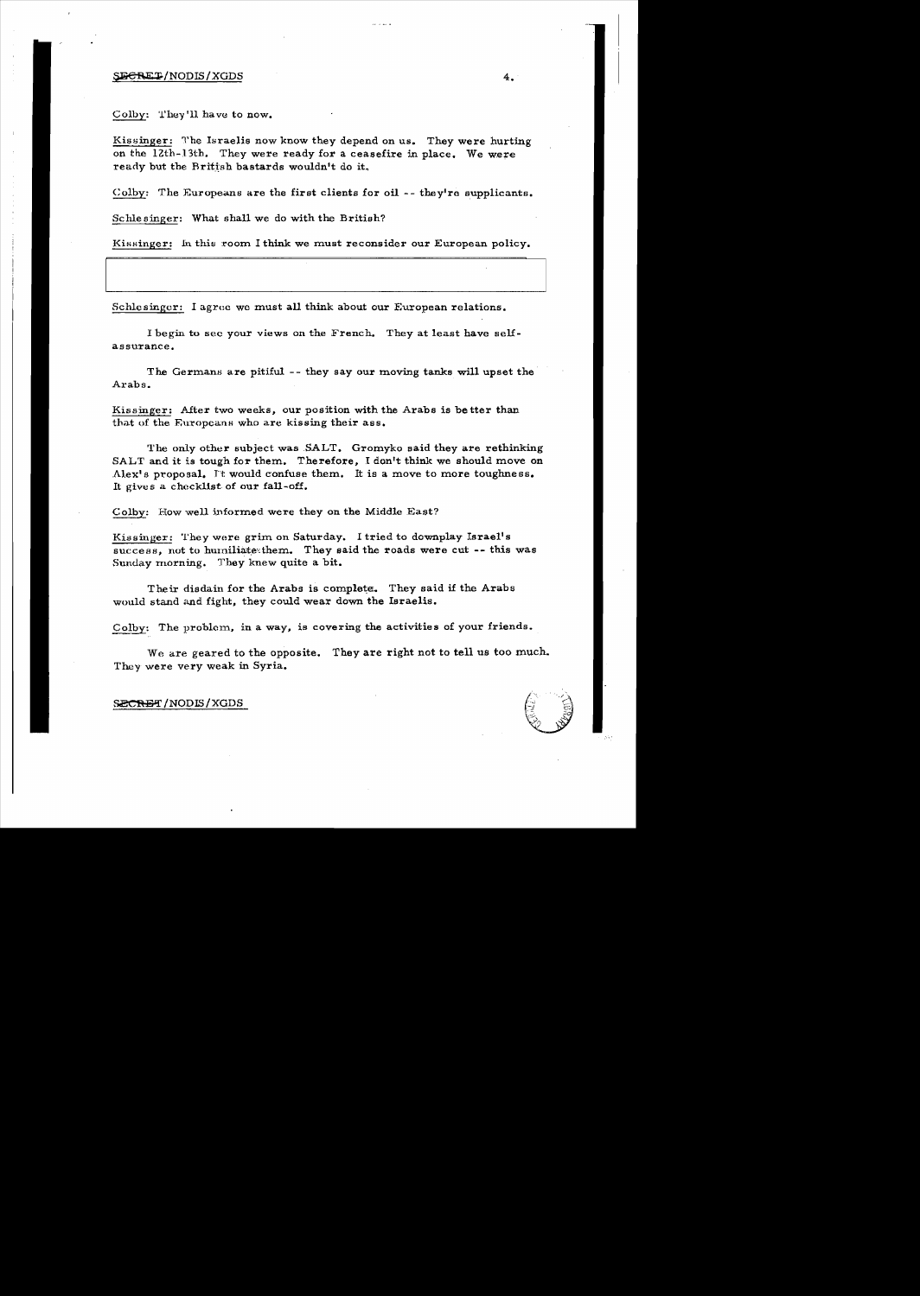#### $\overline{S}$ <del>DCRET</del>/NODIS/XGDS 4.

Colby: They'll have to now.

Kissinger: The Israelis now know they depend on us. They were hurting on the 12th-13th. They were ready for a ceasefire in place. We were ready but the British bastards wouldn't do it.

Colby: The Europeans are the first clients for oil  $-$ - they're supplicants.

Schle singer: What shall we do with the British?

Kissinger: In this room I think we must reconsider our European policy.

Schlesinger: I agree we must all think about our European relations.

I begin to sec your views on the French. They at least have selfassurance.

The Germans are pitiful -- they say our moving tanks will upset the Arabs.

Kissinger: After two weeks, our position with the Arabs is better than that of the Europeans who are kissing their ass.

The only other subject was SALT. Gromyko said they are rethinking SALT and it is tough for them. Therefore, I don't think we should move on Alex's proposal. It would confuse them. It is a move to more toughness. It gives a checklist of our fall-off.

Colby: How well informed were they on the Middle East?

Kissinger: They were grim on Saturday. I tried to downplay Israel's success, not to humiliate them. They said the roads were cut -- this was Sunday rnorning. They knew quite a bit.

Their disdain for the Arabs is complete. They said if the Arabs would stand and fight, they could wear down the Israelis.

Colby: The problem, in a way, is covering the activities of your friends.

We are geared to the opposite. They are right not to tell us too much. They were very weak in Syria.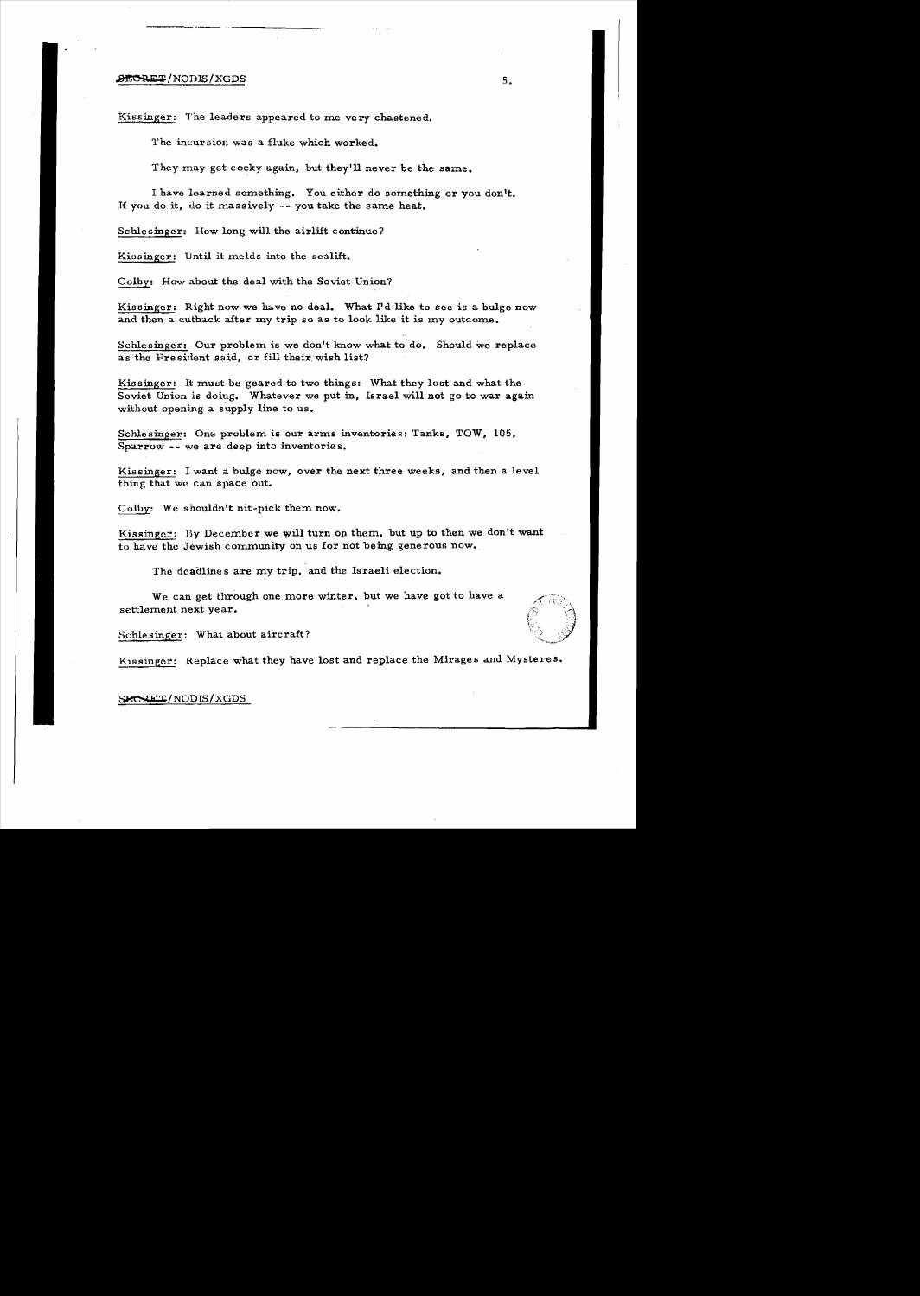#### $\overline{\text{BECRE}}$  /NODIS/XGDS s. the set of  $\overline{\text{S}}$  s.

Kissinger: The leaders appeared to me very chastened.

The incursion was a fluke which worked.

They may get cocky again, but they'll never be the same.

I have learned something. You either do something or you don't. If you do it, do it massively -- you take the same heat.

Schlesinger; How long will the airlift continue?

Kissinger: Until it melds into the sealift.

Colby: How about the deal with the Soviet Union?

Kissinger: Right now we have no deal. What I'd like to see is a bulge now and then a cutback after my trip so as to look like it is my outcome.

Schlesinger: Our problem is we don't know what to do, Should we replace as the President said, or fill their wish list?

Kissinger: It must be geared to two things: What they lost and what the Soviet Union is doing. Whatever we put in, Israel will not go to war again without opening a supply line to us.

Schlesinger: One problem is our arms inventories: Tanks, TOW, 105, Sparrow -- we are deep into inventories.

Kissinger: J. want a bulge now, over the next three weeks, and then a level thing that we Can space out.

Colby: We shouldn't nit-pick them now.

Kissinger: By December we will turn on them, but up to then we don't want to have the Jewish community on us for not being generous now.

The dcadlines are my trip, and the Israeli election.

We can get through one more winter, but we have got to have a settlement next year.

Schle singer: What about aircraft?

Kissinger: Replace what they have lost and replace the Mirages and Mysteres.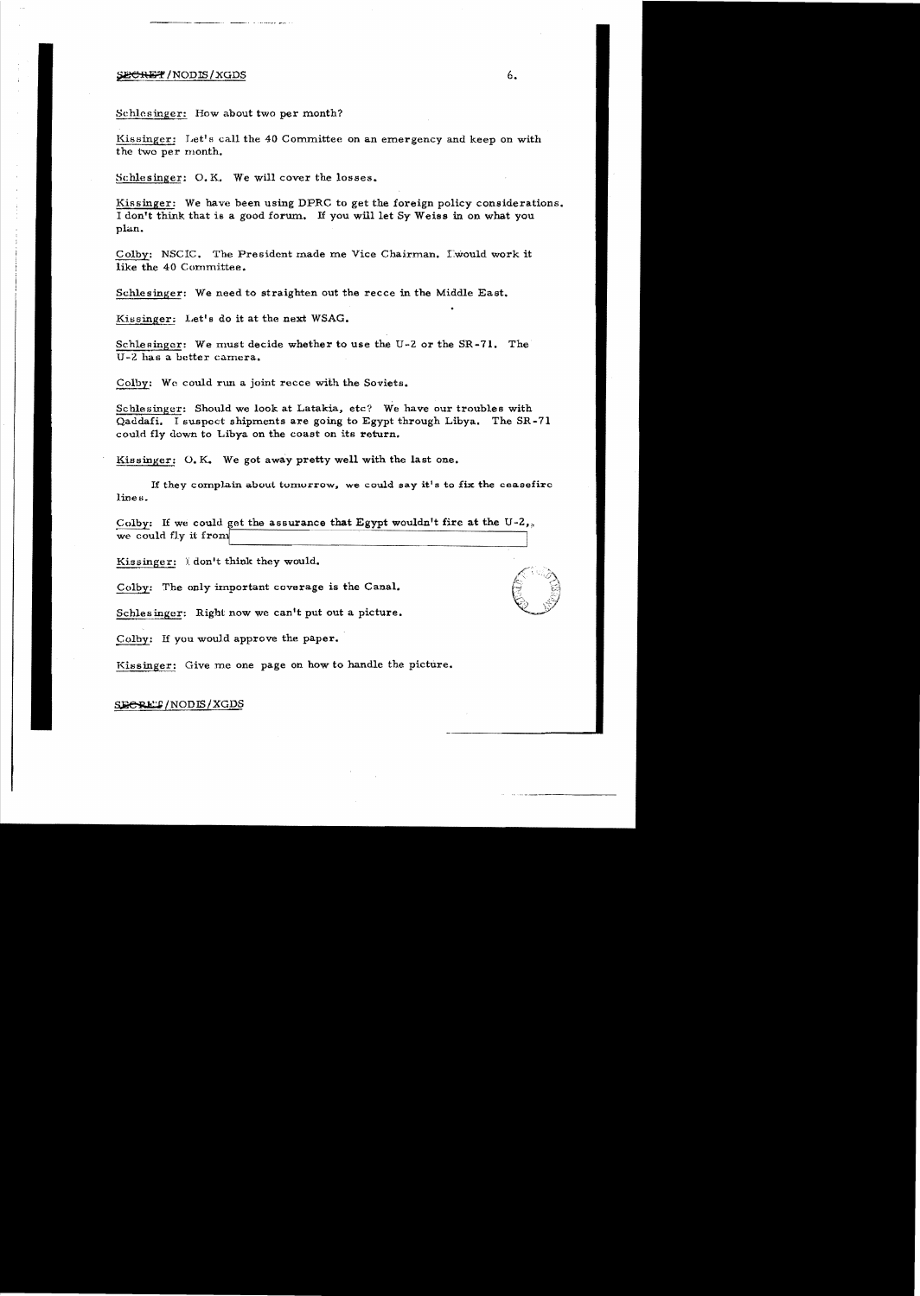#### SECRET/NODIS/XGDS

Schlesinger: How about two per month?

Kissinger: Let's call the 40 Committee on an emergency and keep on with the two per rnonth.

Schlesinger: O. K. We will cover the losses.

Kissinger: We have been using DPRC to get the foreign policy considerations. <sup>I</sup>don't think that is a good forum. If you will let Sy Weiss in on what you plan.

Colby: NSCIC. The President made me Vice Chairman. Lwould work it like the 40 Committee.

Schlesinger: We need to straighten out the recce in the Middle East.

Kissinger: Let's do it at the next WSAG.

Schlesinger: We must decide whether to use the U-2 or the SR-71. The U -2 has a better camera.

Colby: We could run a joint recce with the Soviets.

Schlesinger: Should we look at Latakia, etc? We have our troubles with Qaddafi. I suspect shipments are going to Egypt through Libya. The SR-71 could fly down to Libya on the coast on its return.

Kissinger: O. K. We got away pretty well with the last one.

If they complain about tomorrow, we could say it's to fix the ceasefire lines.

Colby: If we could get the assurance that Egypt wouldn't fire at the U-2, we could fly it

Kissinger:  $i$  don't think they would.

Colby: The only irnportant coverage is the Canal.

Schlesinger: Right now we can't put out a picture.

Colby: If you would approve the paper.

Kissinger: Give me one page on how to handle the picture.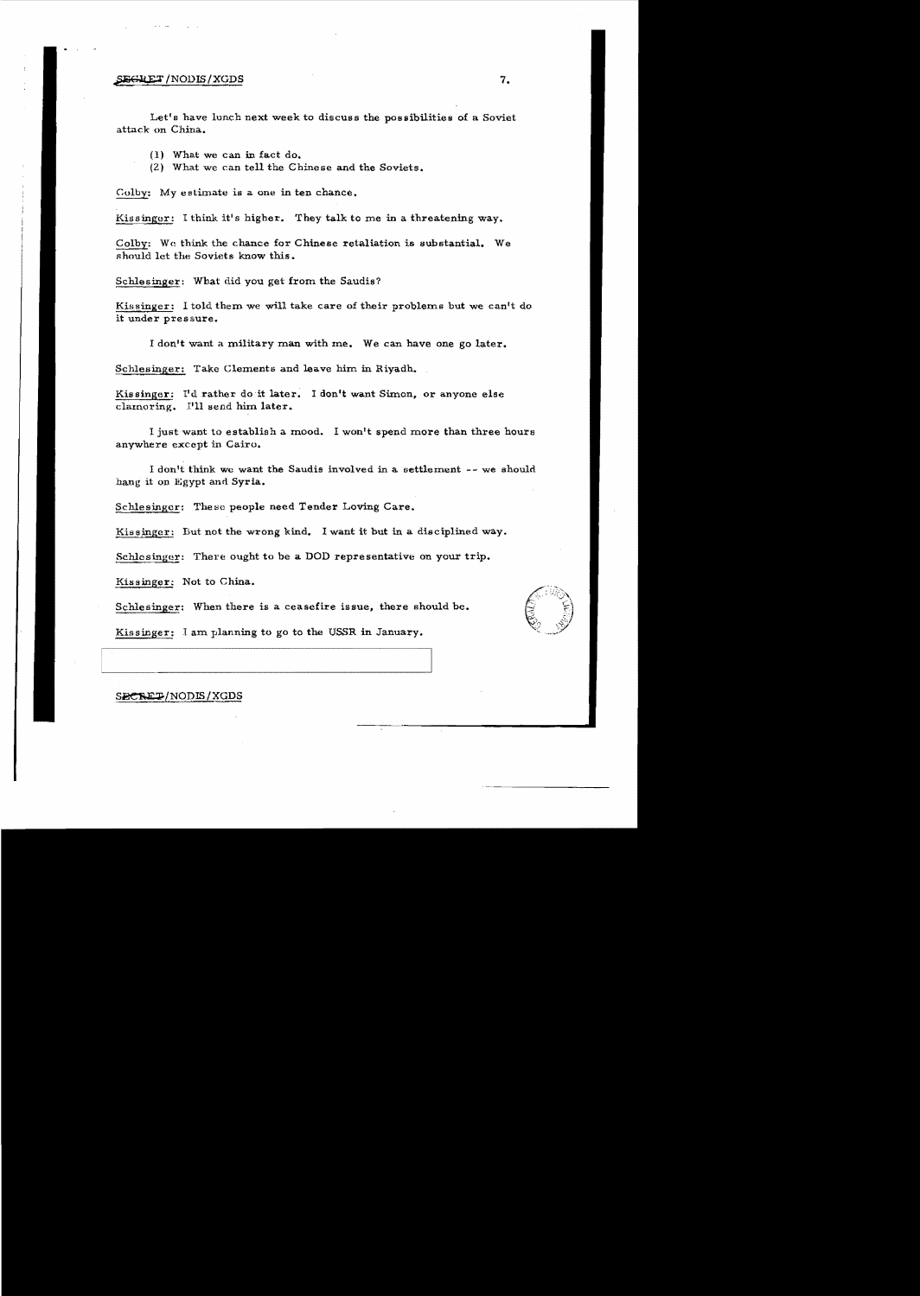#### $\overline{\text{SEGRET}}$  /NODIS / XGDS  $\hspace{1.5cm}7.$

Let's have lunch next week to discuss the possibilities of a Soviet attack on China.

(1) What we can in fact do.

(Z) What we can tell the Chinese and the Soviets.

Colby: My estimate is a one in ten chance.

Kissinger: I think it's higher. They talk to me in a threatening way.

Colby: We think the chance for Chinese retaliation is substantial. We should let the Soviets know this.

Schlesinger: What did you get from the Saudis?

Kissinger: I told them we will take care of their problems but we can't do it under pressure.

I don't want a military man with me. We can have one go later.

Schlesinger: Take Clements and leave him in Riyadh.

Kissinger: I'd rather do it later. I don't want Simon, or anyone else clamoring. I'll send him later.

I just want to establish a mood. I won't spend more than three hours anywhere except in Cairo.

I don't think we want the Saudis involved in a settlement -- we should hang it on Egypt and Syria.

Schlesinger: These people need Tender Loving Care.

Kissinger: But not the wrong kind. I want it but in a disciplined way.

Schlesinger: There ought to be a DOD representative on your trip.

Kissinger: Not to China.

Schlesinger: When there is a ceasefire issue, there should be.



Kissinger: I am planning to go to the USSR in January.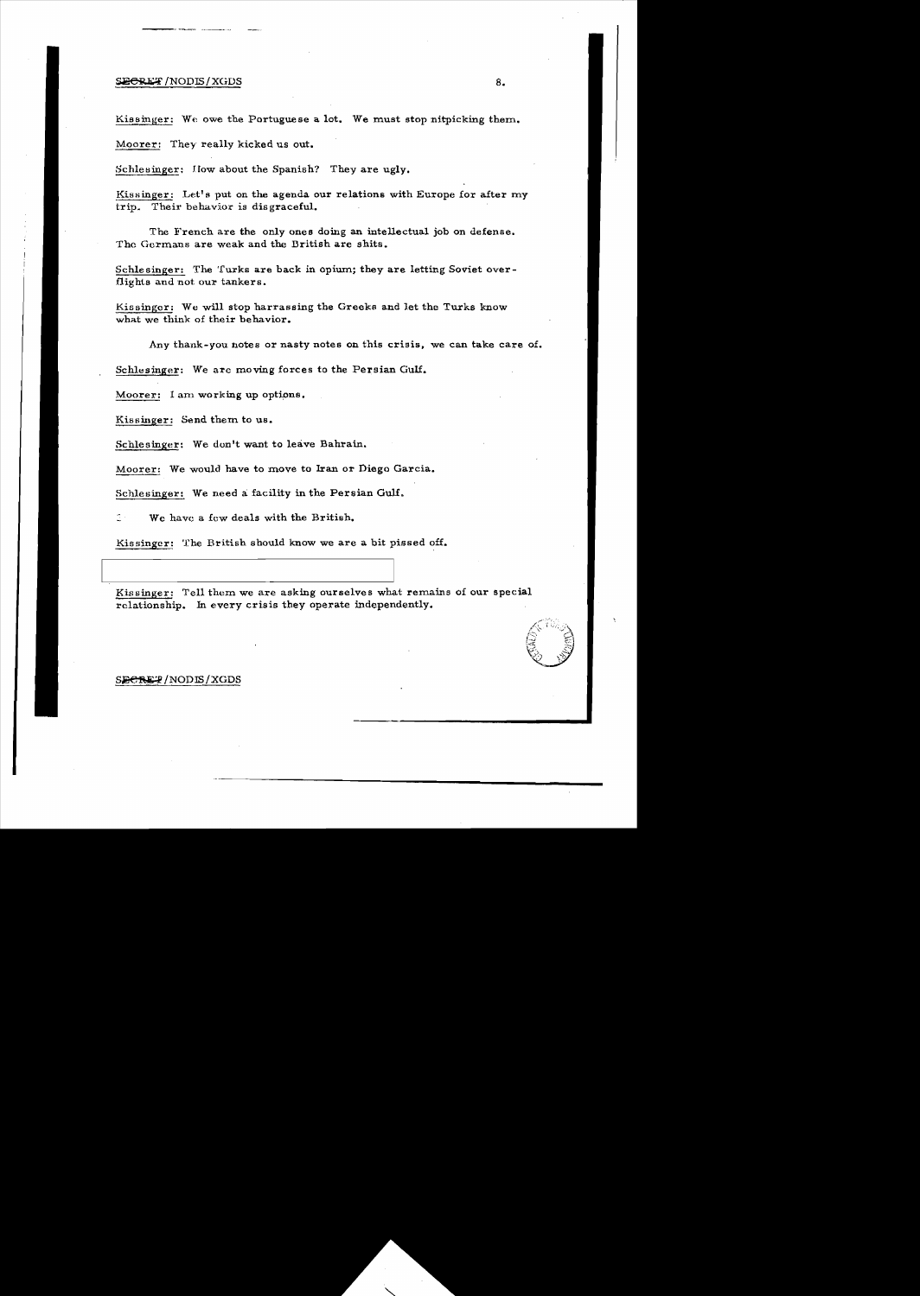#### $\frac{SDECREF}{NODIS}/XGDS$  8.

Kissinger: We owe the Portuguese a lot. We must stop nitpicking them.

Moorer: They really kicked us out.

Schlesinger: How about the Spanish? They are ugly.

Kissinger: Let's put on the agenda our relations with Europe for after my trip. Their behavior is dis graceful.

The French are the only ones doing an intellectual job on defense. The Germans are weak and the Dritish are shits.

Schlesinger: The Turks are back in opium; they are letting Soviet overflights and not our tankers.

Kissinger: We will stop harrassing the Greeks and let the Turks know what we think of their behavior.

Any thank-you. notes or nasty notes on this crisis, we can take care of.

Schlesinger: We arc moving forces to the Persian Gulf.

Moorer: I am working up options.

Kissinger: Send them to us.

Schlesinger: We don't want to leave Bahrain.

Moorer: We would have to move to Iran or Diego Garcia.

Schlesinger: We need a facility in the Persian Gulf.

We have a few deals with the British.

Kissinger: The British should know we are a bit pissed off.

Kissinger: Tell them we are asking ourselves what remains of our special relationship. In every crisis they operate independently.